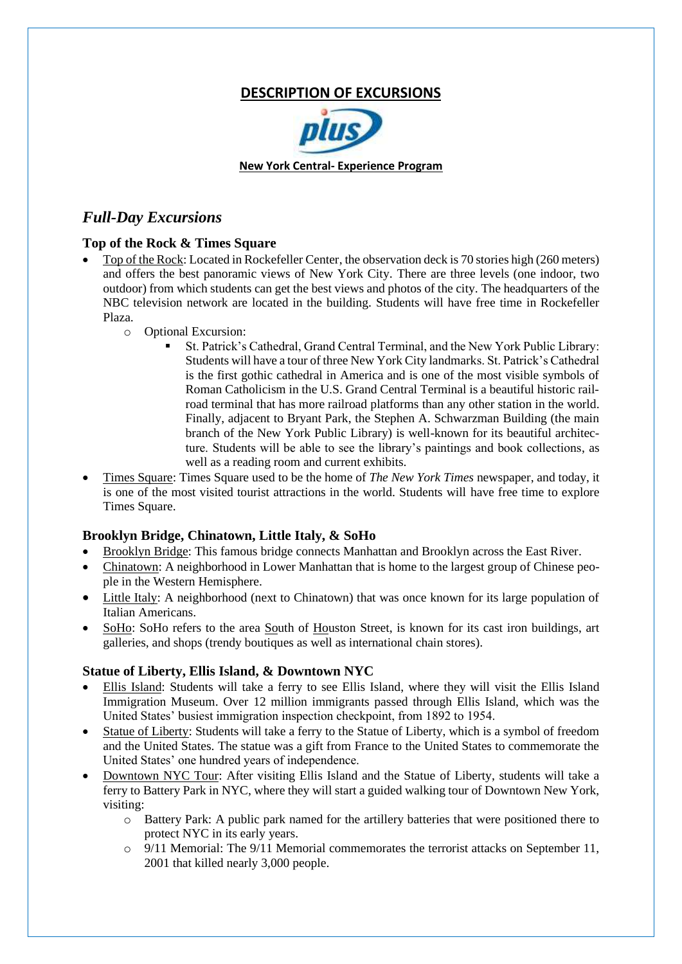# **DESCRIPTION OF EXCURSIONS**



## *Full-Day Excursions*

#### **Top of the Rock & Times Square**

- Top of the Rock: Located in Rockefeller Center, the observation deck is 70 stories high (260 meters) and offers the best panoramic views of New York City. There are three levels (one indoor, two outdoor) from which students can get the best views and photos of the city. The headquarters of the NBC television network are located in the building. Students will have free time in Rockefeller Plaza.
	- o Optional Excursion:
		- St. Patrick's Cathedral, Grand Central Terminal, and the New York Public Library: Students will have a tour of three New York City landmarks. St. Patrick's Cathedral is the first gothic cathedral in America and is one of the most visible symbols of Roman Catholicism in the U.S. Grand Central Terminal is a beautiful historic railroad terminal that has more railroad platforms than any other station in the world. Finally, adjacent to Bryant Park, the Stephen A. Schwarzman Building (the main branch of the New York Public Library) is well-known for its beautiful architecture. Students will be able to see the library's paintings and book collections, as well as a reading room and current exhibits.
- Times Square: Times Square used to be the home of *The New York Times* newspaper, and today, it is one of the most visited tourist attractions in the world. Students will have free time to explore Times Square.

#### **Brooklyn Bridge, Chinatown, Little Italy, & SoHo**

- Brooklyn Bridge: This famous bridge connects Manhattan and Brooklyn across the East River.
- Chinatown: A neighborhood in Lower Manhattan that is home to the largest group of Chinese people in the Western Hemisphere.
- Little Italy: A neighborhood (next to Chinatown) that was once known for its large population of Italian Americans.
- SoHo: SoHo refers to the area South of Houston Street, is known for its cast iron buildings, art galleries, and shops (trendy boutiques as well as international chain stores).

#### **Statue of Liberty, Ellis Island, & Downtown NYC**

- Ellis Island: Students will take a ferry to see Ellis Island, where they will visit the Ellis Island Immigration Museum. Over 12 million immigrants passed through Ellis Island, which was the United States' busiest immigration inspection checkpoint, from 1892 to 1954.
- Statue of Liberty: Students will take a ferry to the Statue of Liberty, which is a symbol of freedom and the United States. The statue was a gift from France to the United States to commemorate the United States' one hundred years of independence.
- Downtown NYC Tour: After visiting Ellis Island and the Statue of Liberty, students will take a ferry to Battery Park in NYC, where they will start a guided walking tour of Downtown New York, visiting:
	- o Battery Park: A public park named for the artillery batteries that were positioned there to protect NYC in its early years.
	- $\circ$  9/11 Memorial: The 9/11 Memorial commemorates the terrorist attacks on September 11, 2001 that killed nearly 3,000 people.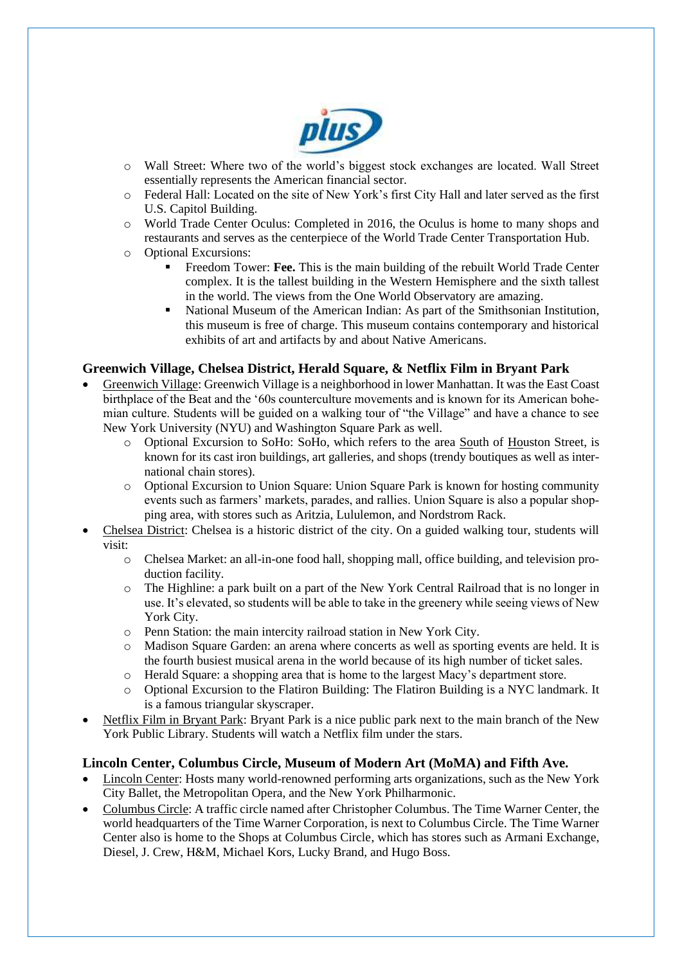

- o Wall Street: Where two of the world's biggest stock exchanges are located. Wall Street essentially represents the American financial sector.
- o Federal Hall: Located on the site of New York's first City Hall and later served as the first U.S. Capitol Building.
- o World Trade Center Oculus: Completed in 2016, the Oculus is home to many shops and restaurants and serves as the centerpiece of the World Trade Center Transportation Hub.
- o Optional Excursions:
	- Freedom Tower: Fee. This is the main building of the rebuilt World Trade Center complex. It is the tallest building in the Western Hemisphere and the sixth tallest in the world. The views from the One World Observatory are amazing.
	- National Museum of the American Indian: As part of the Smithsonian Institution, this museum is free of charge. This museum contains contemporary and historical exhibits of art and artifacts by and about Native Americans.

### **Greenwich Village, Chelsea District, Herald Square, & Netflix Film in Bryant Park**

- Greenwich Village: Greenwich Village is a neighborhood in lower Manhattan. It was the East Coast birthplace of the Beat and the '60s counterculture movements and is known for its American bohemian culture. Students will be guided on a walking tour of "the Village" and have a chance to see New York University (NYU) and Washington Square Park as well.
	- o Optional Excursion to SoHo: SoHo, which refers to the area South of Houston Street, is known for its cast iron buildings, art galleries, and shops (trendy boutiques as well as international chain stores).
	- o Optional Excursion to Union Square: Union Square Park is known for hosting community events such as farmers' markets, parades, and rallies. Union Square is also a popular shopping area, with stores such as Aritzia, Lululemon, and Nordstrom Rack.
- Chelsea District: Chelsea is a historic district of the city. On a guided walking tour, students will visit:
	- $\circ$  Chelsea Market: an all-in-one food hall, shopping mall, office building, and television production facility.
	- o The Highline: a park built on a part of the New York Central Railroad that is no longer in use. It's elevated, so students will be able to take in the greenery while seeing views of New York City.
	- o Penn Station: the main intercity railroad station in New York City.
	- o Madison Square Garden: an arena where concerts as well as sporting events are held. It is the fourth busiest musical arena in the world because of its high number of ticket sales.
	- o Herald Square: a shopping area that is home to the largest Macy's department store.
	- o Optional Excursion to the Flatiron Building: The Flatiron Building is a NYC landmark. It is a famous triangular skyscraper.
- Netflix Film in Bryant Park: Bryant Park is a nice public park next to the main branch of the New York Public Library. Students will watch a Netflix film under the stars.

#### **Lincoln Center, Columbus Circle, Museum of Modern Art (MoMA) and Fifth Ave.**

- Lincoln Center: Hosts many world-renowned performing arts organizations, such as the New York City Ballet, the Metropolitan Opera, and the New York Philharmonic.
- Columbus Circle: A traffic circle named after Christopher Columbus. The Time Warner Center, the world headquarters of the Time Warner Corporation, is next to Columbus Circle. The Time Warner Center also is home to the Shops at Columbus Circle, which has stores such as Armani Exchange, Diesel, J. Crew, H&M, Michael Kors, Lucky Brand, and Hugo Boss.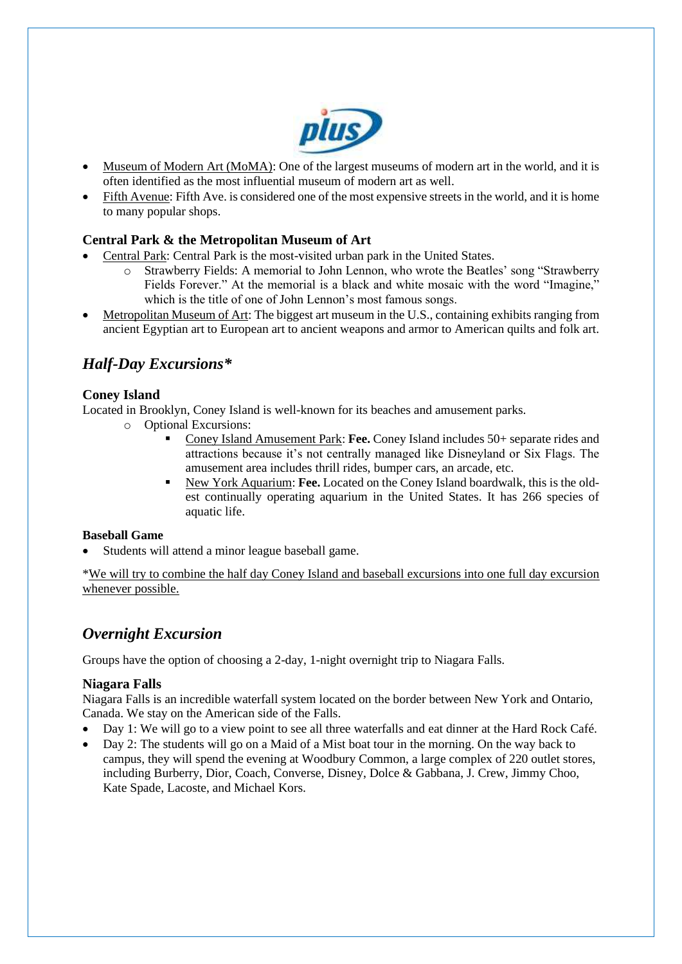

- Museum of Modern Art (MoMA): One of the largest museums of modern art in the world, and it is often identified as the most influential museum of modern art as well.
- Fifth Avenue: Fifth Ave. is considered one of the most expensive streets in the world, and it is home to many popular shops.

#### **Central Park & the Metropolitan Museum of Art**

- Central Park: Central Park is the most-visited urban park in the United States.
	- o Strawberry Fields: A memorial to John Lennon, who wrote the Beatles' song "Strawberry Fields Forever." At the memorial is a black and white mosaic with the word "Imagine," which is the title of one of John Lennon's most famous songs.
- Metropolitan Museum of Art: The biggest art museum in the U.S., containing exhibits ranging from ancient Egyptian art to European art to ancient weapons and armor to American quilts and folk art.

# *Half-Day Excursions\**

#### **Coney Island**

Located in Brooklyn, Coney Island is well-known for its beaches and amusement parks.

- o Optional Excursions:
	- Coney Island Amusement Park: Fee. Coney Island includes 50+ separate rides and attractions because it's not centrally managed like Disneyland or Six Flags. The amusement area includes thrill rides, bumper cars, an arcade, etc.
	- New York Aquarium: Fee. Located on the Coney Island boardwalk, this is the oldest continually operating aquarium in the United States. It has 266 species of aquatic life.

#### **Baseball Game**

Students will attend a minor league baseball game.

\*We will try to combine the half day Coney Island and baseball excursions into one full day excursion whenever possible.

# *Overnight Excursion*

Groups have the option of choosing a 2-day, 1-night overnight trip to Niagara Falls.

#### **Niagara Falls**

Niagara Falls is an incredible waterfall system located on the border between New York and Ontario, Canada. We stay on the American side of the Falls.

- Day 1: We will go to a view point to see all three waterfalls and eat dinner at the Hard Rock Café.
- Day 2: The students will go on a Maid of a Mist boat tour in the morning. On the way back to campus, they will spend the evening at Woodbury Common, a large complex of 220 outlet stores, including Burberry, Dior, Coach, Converse, Disney, Dolce & Gabbana, J. Crew, Jimmy Choo, Kate Spade, Lacoste, and Michael Kors.